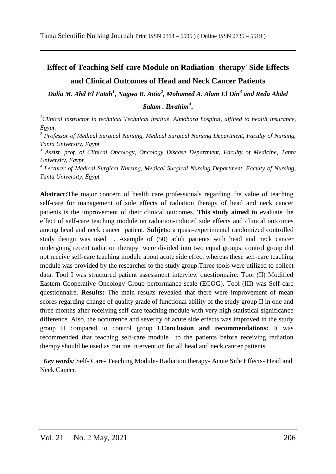# **Effect of Teaching Self-care Module on Radiation- therapy' Side Effects and Clinical Outcomes of Head and Neck Cancer Patients**

*Dalia M. Abd El Fatah<sup>1</sup> , Nagwa R. Attia<sup>2</sup> , Mohamed A. Alam El Din<sup>3</sup> and Reda Abdel* 

*Salam . Ibrahim<sup>4</sup>* **.**

*<sup>1</sup>Clinical instructor in technical Technical institue, Almobara hospital, afflited to health insurance, Egypt.*

*<sup>2</sup> Professor of Medical Surgical Nursing, Medical Surgical Nursing Department, Faculty of Nursing, Tanta University, Egypt.*

*<sup>3</sup> Assist. prof. of Clinical Oncology, Oncology Disease Department, Faculty of Medicine, Tanta University, Egypt.*

*4 Lecturer of Medical Surgical Nursing, Medical Surgical Nursing Department, Faculty of Nursing, Tanta University, Egypt.*

 **Abstract:**The major concern of health care professionals regarding the value of teaching self-care for management of side effects of radiation therapy of head and neck cancer patients is the improvement of their clinical outcomes. **This study aimed to** evaluate the effect of self-care teaching module on radiation-induced side effects and clinical outcomes among head and neck cancer patient. **Subjets**: a quasi-experimental randomized controlled study design was used . Asample of (50) adult patients with head and neck cancer undergoing recent radiation therapy were divided into two equal groups; control group did not receive self-care teaching module about acute side effect whereas these self-care teaching module was provided by the researcher to the study group.Three tools were utilized to collect data. Tool I was structured patient assessment interview questionnaire. Tool (II) Modified Eastern Cooperative Oncology Group performance scale (ECOG). Tool (III) was Self-care questionnaire. **Results:** The main results revealed that there were improvement of mean scores regarding change of quality grade of functional ability of the study group II in one and three months after receiving self-care teaching module with very high statistical significance difference. Also, the occurrence and severity of acute side effects was improved in the study group II compared to control group I.**Conclusion and recommendations***:* It was recommended that teaching self-care module to the patients before receiving radiation therapy should be used as routine intervention for all head and neck cancer patients.

 *Key words:* Self- Care- Teaching Module- Radiation therapy- Acute Side Effects- Head and Neck Cancer.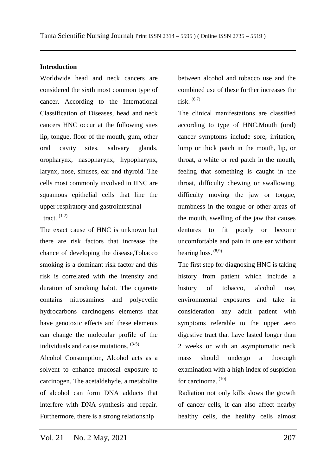### **Introduction**

Worldwide head and neck cancers are considered the sixth most common type of cancer. According to the International Classification of Diseases, head and neck cancers HNC occur at the following sites lip, tongue, floor of the mouth, gum, other oral cavity sites, salivary glands, oropharynx, nasopharynx, hypopharynx, larynx, nose, sinuses, ear and thyroid. The cells most commonly involved in HNC are squamous epithelial cells that line the upper respiratory and gastrointestinal tract. (1,2)

The exact cause of HNC is unknown but there are risk factors that increase the chance of developing the disease,Tobacco smoking is a dominant risk factor and this risk is correlated with the intensity and duration of smoking habit. The cigarette contains nitrosamines and polycyclic hydrocarbons carcinogens elements that have genotoxic effects and these elements can change the molecular profile of the individuals and cause mutations.  $(3-5)$ 

Alcohol Consumption, Alcohol acts as a solvent to enhance mucosal exposure to carcinogen. The acetaldehyde, a metabolite of alcohol can form DNA adducts that interfere with DNA synthesis and repair. Furthermore, there is a strong relationship

between alcohol and tobacco use and the combined use of these further increases the risk. (6,7)

The clinical manifestations are classified according to type of HNC.Mouth (oral) cancer symptoms include sore, irritation, lump or thick patch in the mouth, lip, or throat, a white or red patch in the mouth, feeling that something is caught in the throat, difficulty chewing or swallowing, difficulty moving the jaw or tongue, numbness in the tongue or other areas of the mouth, swelling of the jaw that causes dentures to fit poorly or become uncomfortable and pain in one ear without hearing loss. (8,9)

The first step for diagnosing HNC is taking history from patient which include a history of tobacco, alcohol use, environmental exposures and take in consideration any adult patient with symptoms referable to the upper aero digestive tract that have lasted longer than 2 weeks or with an asymptomatic neck mass should undergo a thorough examination with a high index of suspicion for carcinoma.<sup>(10)</sup>

Radiation not only kills slows the growth of cancer cells, it can also affect nearby healthy cells, the healthy cells almost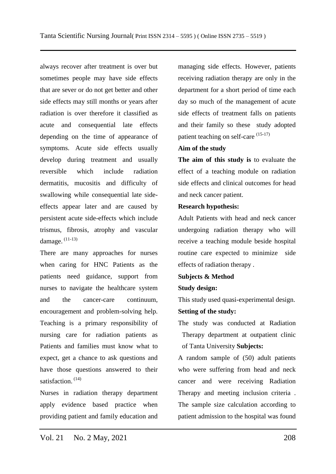always recover after treatment is over but sometimes people may have side effects that are sever or do not get better and other side effects may still months or years after radiation is over therefore it classified as acute and consequential late effects depending on the time of appearance of symptoms. Acute side effects usually develop during treatment and usually reversible which include radiation dermatitis, mucositis and difficulty of swallowing while consequential late sideeffects appear later and are caused by persistent acute side-effects which include trismus, fibrosis, atrophy and vascular damage. (11-13)

There are many approaches for nurses when caring for HNC Patients as the patients need guidance, support from nurses to navigate the healthcare system and the cancer-care continuum, encouragement and problem-solving help. Teaching is a primary responsibility of nursing care for radiation patients as Patients and families must know what to expect, get a chance to ask questions and have those questions answered to their satisfaction.  $(14)$ 

Nurses in radiation therapy department apply evidence based practice when providing patient and family education and

managing side effects. However, patients receiving radiation therapy are only in the department for a short period of time each day so much of the management of acute side effects of treatment falls on patients and their family so these study adopted patient teaching on self-care (15-17)

### **Aim of the study**

**The aim of this study is** to evaluate the effect of a teaching module on radiation side effects and clinical outcomes for head and neck cancer patient.

### **Research hypothesis:**

Adult Patients with head and neck cancer undergoing radiation therapy who will receive a teaching module beside hospital routine care expected to minimize side effects of radiation therapy .

### **Subjects & Method**

### **Study design:**

This study used quasi-experimental design.

### **Setting of the study:**

The study was conducted at Radiation Therapy department at outpatient clinic of Tanta University **Subjects:**

A random sample of (50) adult patients who were suffering from head and neck cancer and were receiving Radiation Therapy and meeting inclusion criteria . The sample size calculation according to patient admission to the hospital was found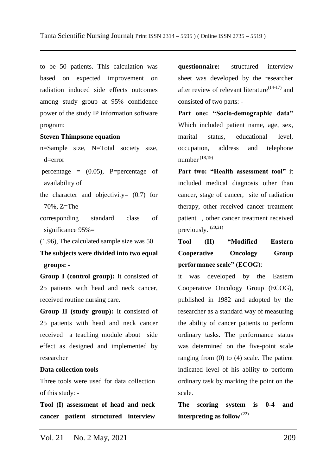to be 50 patients. This calculation was based on expected improvement on radiation induced side effects outcomes among study group at 95% confidence power of the study IP information software program:

#### **Steven Thimpsone equation**

- n=Sample size, N=Total society size, d=error
- percentage =  $(0.05)$ , P=percentage of availability of
- the character and objectivity=  $(0.7)$  for 70%, Z=The
- corresponding standard class of significance 95%=

(1.96), The calculated sample size was 50

**The subjects were divided into two equal groups: -**

**Group I (control group):** It consisted of 25 patients with head and neck cancer, received routine nursing care.

**Group II (study group):** It consisted of 25 patients with head and neck cancer received a teaching module about side effect as designed and implemented by researcher

#### **Data collection tools**

Three tools were used for data collection of this study: -

**Tool (I) assessment of head and neck cancer patient structured interview**  **questionnaire: -**structured interview sheet was developed by the researcher after review of relevant literature<sup> $(14-17)$ </sup> and consisted of two parts: -

**Part one: "Socio-demographic data"** Which included patient name, age, sex, marital status, educational level, occupation, address and telephone number (18,19)

**Part two: "Health assessment tool"** it included medical diagnosis other than cancer, stage of cancer, site of radiation therapy, other received cancer treatment patient , other cancer treatment received previously. (20,21)

**Tool (II) "Modified Eastern Cooperative Oncology Group performance scale" (ECOG**):

it was developed by the Eastern Cooperative Oncology Group (ECOG), published in 1982 and adopted by the researcher as a standard way of measuring the ability of cancer patients to perform ordinary tasks. The performance status was determined on the five-point scale ranging from (0) to (4) scale. The patient indicated level of his ability to perform ordinary task by marking the point on the scale.

**The scoring system is 0-4 and interpreting as follow** (22)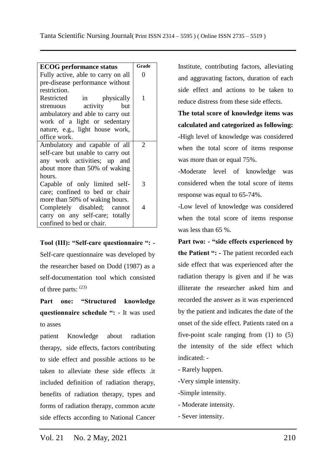### **ECOG** performance status Grade

| Fully active, able to carry on all |   |
|------------------------------------|---|
| pre-disease performance without    |   |
| restriction.                       |   |
| Restricted in physically           | 1 |
| strenuous activity but             |   |
| ambulatory and able to carry out   |   |
| work of a light or sedentary       |   |
| nature, e.g., light house work,    |   |
| office work.                       |   |
| Ambulatory and capable of all      | 2 |
| self-care but unable to carry out  |   |
| any work activities; up and        |   |
| about more than 50% of waking      |   |
| hours.                             |   |
| Capable of only limited self-      | 3 |
| care; confined to bed or chair     |   |
| more than 50% of waking hours.     |   |
| Completely disabled; cannot        | 4 |
| carry on any self-care; totally    |   |
| confined to bed or chair.          |   |
|                                    |   |

**Tool (III): "Self-care questionnaire ": -**

Self-care questionnaire was developed by the researcher based on Dodd (1987) as a self-documentation tool which consisted of three parts: (23)

**Part one: "Structured knowledge questionnaire schedule ":** - It was used to asses

patient Knowledge about radiation therapy, side effects, factors contributing to side effect and possible actions to be taken to alleviate these side effects .it included definition of radiation therapy, benefits of radiation therapy, types and forms of radiation therapy, common acute side effects according to National Cancer

Institute, contributing factors, alleviating and aggravating factors, duration of each side effect and actions to be taken to reduce distress from these side effects.

**The total score of knowledge items was calculated and categorized as following: -**High level of knowledge was considered when the total score of items response was more than or equal 75%.

-Moderate level of knowledge was considered when the total score of items response was equal to 65-74%.

-Low level of knowledge was considered when the total score of items response was less than 65 %.

**Part two: - "side effects experienced by the Patient ": -** The patient recorded each side effect that was experienced after the radiation therapy is given and if he was illiterate the researcher asked him and recorded the answer as it was experienced by the patient and indicates the date of the onset of the side effect. Patients rated on a five-point scale ranging from (1) to (5) the intensity of the side effect which indicated: -

- Rarely happen.
- -Very simple intensity.
- -Simple intensity.
- Moderate intensity.
- Sever intensity.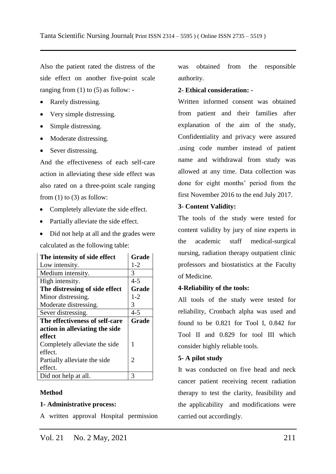Also the patient rated the distress of the side effect on another five-point scale ranging from  $(1)$  to  $(5)$  as follow: -

- Rarely distressing.
- Very simple distressing.
- Simple distressing.
- Moderate distressing.
- Sever distressing.

And the effectiveness of each self-care action in alleviating these side effect was also rated on a three-point scale ranging from  $(1)$  to  $(3)$  as follow:

- Completely alleviate the side effect.
- Partially alleviate the side effect.
- Did not help at all and the grades were

calculated as the following table:

| The intensity of side effect   | Grade   |
|--------------------------------|---------|
| Low intensity.                 | $1 - 2$ |
| Medium intensity.              | 3       |
| High intensity.                | $4 - 5$ |
| The distressing of side effect | Grade   |
| Minor distressing.             | $1 - 2$ |
| Moderate distressing.          | 3       |
| Sever distressing.             | $4 - 5$ |
| The effectiveness of self-care | Grade   |
| action in alleviating the side |         |
| effect                         |         |
| Completely alleviate the side  | 1       |
| effect.                        |         |
| Partially alleviate the side   | 2       |
| effect.                        |         |
| Did not help at all.           | 3       |

## **Method**

## **1- Administrative process:**

A written approval Hospital permission

was obtained from the responsible authority.

## **2- Ethical consideration: -**

Written informed consent was obtained from patient and their families after explanation of the aim of the study, Confidentiality and privacy were assured .using code number instead of patient name and withdrawal from study was allowed at any time. Data collection was done for eight months' period from the first November 2016 to the end July 2017.

## **3- Content Validity:**

The tools of the study were tested for content validity by jury of nine experts in the academic staff medical-surgical nursing, radiation therapy outpatient clinic professors and biostatistics at the Faculty of Medicine.

## **4-Reliability of the tools:**

All tools of the study were tested for reliability, Cronbach alpha was used and found to be 0.821 for Tool I, 0.842 for Tool II and 0.829 for tool III which consider highly reliable tools.

## **5- A pilot study**

It was conducted on five head and neck cancer patient receiving recent radiation therapy to test the clarity, feasibility and the applicability and modifications were carried out accordingly.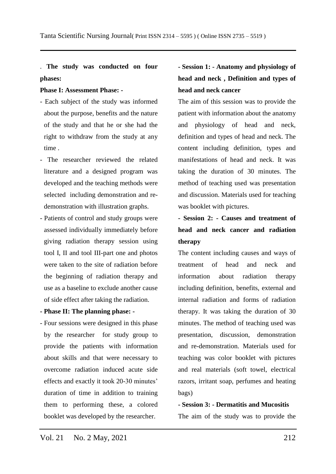## . **The study was conducted on four phases:**

### **Phase I: Assessment Phase: -**

- Each subject of the study was informed about the purpose, benefits and the nature of the study and that he or she had the right to withdraw from the study at any time .
- The researcher reviewed the related literature and a designed program was developed and the teaching methods were selected including demonstration and redemonstration with illustration graphs.
- Patients of control and study groups were assessed individually immediately before giving radiation therapy session using tool I, II and tool III-part one and photos were taken to the site of radiation before the beginning of radiation therapy and use as a baseline to exclude another cause of side effect after taking the radiation.

#### **- Phase II: The planning phase: -**

- Four sessions were designed in this phase by the researcher for study group to provide the patients with information about skills and that were necessary to overcome radiation induced acute side effects and exactly it took 20-30 minutes' duration of time in addition to training them to performing these, a colored booklet was developed by the researcher.

## **- Session 1: - Anatomy and physiology of head and neck , Definition and types of head and neck cancer**

The aim of this session was to provide the patient with information about the anatomy and physiology of head and neck, definition and types of head and neck. The content including definition, types and manifestations of head and neck. It was taking the duration of 30 minutes. The method of teaching used was presentation and discussion. Materials used for teaching was booklet with pictures.

# **- Session 2: - Causes and treatment of head and neck cancer and radiation therapy**

The content including causes and ways of treatment of head and neck and information about radiation therapy including definition, benefits, external and internal radiation and forms of radiation therapy. It was taking the duration of 30 minutes. The method of teaching used was presentation, discussion, demonstration and re-demonstration. Materials used for teaching was color booklet with pictures and real materials (soft towel, electrical razors, irritant soap, perfumes and heating bags)

**- Session 3: - Dermatitis and Mucositis** The aim of the study was to provide the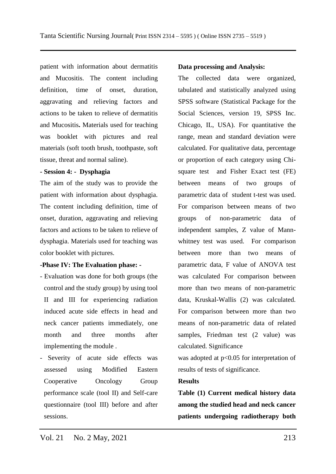patient with information about dermatitis and Mucositis. The content including definition, time of onset, duration, aggravating and relieving factors and actions to be taken to relieve of dermatitis and Mucositis**.** Materials used for teaching was booklet with pictures and real materials (soft tooth brush, toothpaste, soft tissue, threat and normal saline).

### **- Session 4: - Dysphagia**

The aim of the study was to provide the patient with information about dysphagia. The content including definition, time of onset, duration, aggravating and relieving factors and actions to be taken to relieve of dysphagia. Materials used for teaching was color booklet with pictures.

### **-Phase IV: The Evaluation phase: -**

- Evaluation was done for both groups (the control and the study group) by using tool II and III for experiencing radiation induced acute side effects in head and neck cancer patients immediately, one month and three months after implementing the module .
- Severity of acute side effects was assessed using Modified Eastern Cooperative Oncology Group performance scale (tool II) and Self-care questionnaire (tool III) before and after sessions.

### **Data processing and Analysis:**

The collected data were organized, tabulated and statistically analyzed using SPSS software (Statistical Package for the Social Sciences, version 19, SPSS Inc. Chicago, IL, USA). For quantitative the range, mean and standard deviation were calculated. For qualitative data, percentage or proportion of each category using Chisquare test and Fisher Exact test (FE) between means of two groups of parametric data of student t-test was used. For comparison between means of two groups of non-parametric data of independent samples, Z value of Mannwhitney test was used. For comparison between more than two means of parametric data, F value of ANOVA test was calculated For comparison between more than two means of non-parametric data, Kruskal-Wallis (2) was calculated. For comparison between more than two means of non-parametric data of related samples, Friedman test (2 value) was calculated. Significance

was adopted at  $p<0.05$  for interpretation of results of tests of significance.

### **Results**

**Table (1) Current medical history data among the studied head and neck cancer patients undergoing radiotherapy both**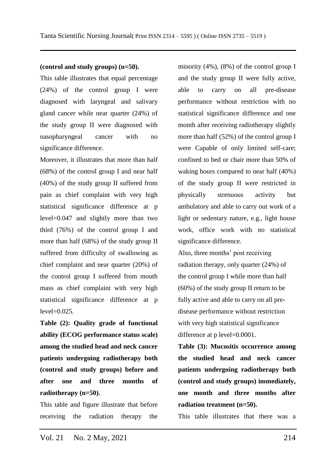#### **(control and study groups) (n=50).**

This table illustrates that equal percentage (24%) of the control group I were diagnosed with laryngeal and salivary gland cancer while near quarter (24%) of the study group II were diagnosed with nasopharyngeal cancer with no significance difference.

Moreover, it illustrates that more than half (68%) of the control group I and near half (40%) of the study group II suffered from pain as chief complaint with very high statistical significance difference at p level=0.047 and slightly more than two third (76%) of the control group I and more than half (68%) of the study group II suffered from difficulty of swallowing as chief complaint and near quarter (20%) of the control group I suffered from mouth mass as chief complaint with very high statistical significance difference at p  $level=0.025$ .

**Table (2): Quality grade of functional ability (ECOG performance status scale) among the studied head and neck cancer patients undergoing radiotherapy both (control and study groups) before and after one and three months of radiotherapy (n=50).** 

This table and figure illustrate that before receiving the radiation therapy the

minority (4%), (8%) of the control group I and the study group II were fully active, able to carry on all pre-disease performance without restriction with no statistical significance difference and one month after receiving radiotherapy slightly more than half (52%) of the control group I were Capable of only limited self-care; confined to bed or chair more than 50% of waking hours compared to near half (40%) of the study group II were restricted in physically strenuous activity but ambulatory and able to carry out work of a light or sedentary nature, e.g., light house work, office work with no statistical significance difference.

Also, three months' post receiving radiation therapy, only quarter (24%) of the control group I while more than half (60%) of the study group II return to be fully active and able to carry on all predisease performance without restriction with very high statistical significance difference at p level=0.0001.

**Table (3): Mucositis occurrence among the studied head and neck cancer patients undergoing radiotherapy both (control and study groups) immediately, one month and three months after radiation treatment (n=50).**

This table illustrates that there was a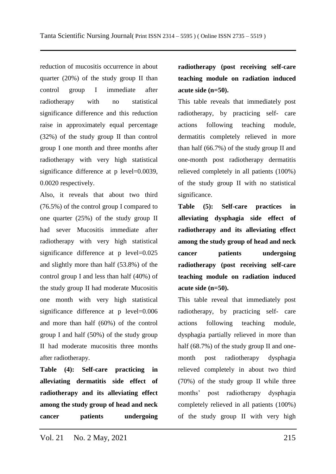reduction of mucositis occurrence in about quarter (20%) of the study group II than control group I immediate after radiotherapy with no statistical significance difference and this reduction raise in approximately equal percentage (32%) of the study group II than control group I one month and three months after radiotherapy with very high statistical significance difference at p level=0.0039, 0.0020 respectively.

Also, it reveals that about two third (76.5%) of the control group I compared to one quarter (25%) of the study group II had sever Mucositis immediate after radiotherapy with very high statistical significance difference at p level=0.025 and slightly more than half (53.8%) of the control group I and less than half (40%) of the study group II had moderate Mucositis one month with very high statistical significance difference at p level=0.006 and more than half (60%) of the control group I and half (50%) of the study group II had moderate mucositis three months after radiotherapy.

**Table (4): Self-care practicing in alleviating dermatitis side effect of radiotherapy and its alleviating effect among the study group of head and neck cancer patients undergoing** 

# **radiotherapy (post receiving self-care teaching module on radiation induced acute side (n=50).**

This table reveals that immediately post radiotherapy, by practicing self- care actions following teaching module, dermatitis completely relieved in more than half (66.7%) of the study group II and one-month post radiotherapy dermatitis relieved completely in all patients (100%) of the study group II with no statistical significance.

**Table (5): Self-care practices in alleviating dysphagia side effect of radiotherapy and its alleviating effect among the study group of head and neck cancer patients undergoing radiotherapy (post receiving self-care teaching module on radiation induced acute side (n=50).**

This table reveal that immediately post radiotherapy, by practicing self- care actions following teaching module, dysphagia partially relieved in more than half (68.7%) of the study group II and onemonth post radiotherapy dysphagia relieved completely in about two third (70%) of the study group II while three months' post radiotherapy dysphagia completely relieved in all patients (100%) of the study group II with very high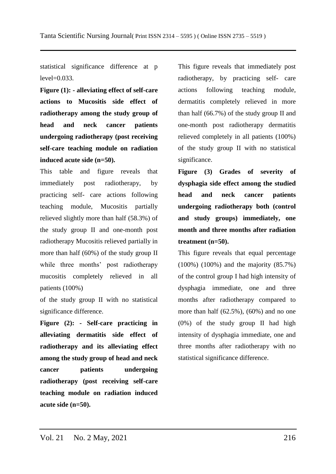statistical significance difference at p level=0.033.

**Figure (1): - alleviating effect of self-care actions to Mucositis side effect of radiotherapy among the study group of head and neck cancer patients undergoing radiotherapy (post receiving self-care teaching module on radiation induced acute side (n=50).**

This table and figure reveals that immediately post radiotherapy, by practicing self- care actions following teaching module, Mucositis partially relieved slightly more than half (58.3%) of the study group II and one-month post radiotherapy Mucositis relieved partially in more than half (60%) of the study group II while three months' post radiotherapy mucositis completely relieved in all patients (100%)

of the study group II with no statistical significance difference.

**Figure (2): - Self-care practicing in alleviating dermatitis side effect of radiotherapy and its alleviating effect among the study group of head and neck cancer patients undergoing radiotherapy (post receiving self-care teaching module on radiation induced acute side (n=50).**

This figure reveals that immediately post radiotherapy, by practicing self- care actions following teaching module, dermatitis completely relieved in more than half (66.7%) of the study group II and one-month post radiotherapy dermatitis relieved completely in all patients (100%) of the study group II with no statistical significance.

**Figure (3) Grades of severity of dysphagia side effect among the studied head and neck cancer patients undergoing radiotherapy both (control and study groups) immediately, one month and three months after radiation treatment (n=50).**

This figure reveals that equal percentage (100%) (100%) and the majority (85.7%) of the control group I had high intensity of dysphagia immediate, one and three months after radiotherapy compared to more than half (62.5%), (60%) and no one (0%) of the study group II had high intensity of dysphagia immediate, one and three months after radiotherapy with no statistical significance difference.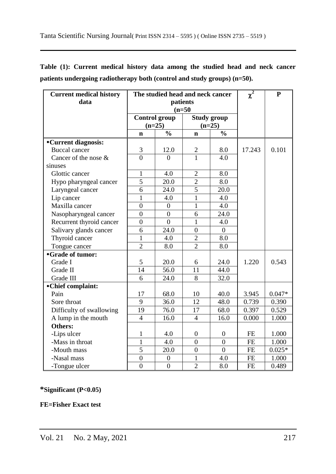| <b>Current medical history</b><br>data |                                  | The studied head and neck cancer<br>patients<br>$(n=50)$ | $\chi^2$         | ${\bf P}$                      |           |          |
|----------------------------------------|----------------------------------|----------------------------------------------------------|------------------|--------------------------------|-----------|----------|
|                                        | <b>Control group</b><br>$(n=25)$ |                                                          |                  | <b>Study group</b><br>$(n=25)$ |           |          |
|                                        | $\mathbf n$                      | $\frac{0}{0}$                                            | $\mathbf n$      | $\frac{0}{0}$                  |           |          |
| • Current diagnosis:                   |                                  |                                                          |                  |                                |           |          |
| <b>Buccal cancer</b>                   | 3                                | 12.0                                                     | $\frac{2}{1}$    | 8.0                            | 17.243    | 0.101    |
| Cancer of the nose $\&$                | $\theta$                         | $\theta$                                                 |                  | 4.0                            |           |          |
| sinuses                                |                                  |                                                          |                  |                                |           |          |
| Glottic cancer                         | $\mathbf{1}$                     | 4.0                                                      | $\overline{2}$   | 8.0                            |           |          |
| Hypo pharyngeal cancer                 | 5                                | 20.0                                                     | $\overline{2}$   | 8.0                            |           |          |
| Laryngeal cancer                       | 6                                | 24.0                                                     | $\overline{5}$   | 20.0                           |           |          |
| Lip cancer                             | $\mathbf{1}$                     | 4.0                                                      | $\mathbf{1}$     | 4.0                            |           |          |
| Maxilla cancer                         | $\overline{0}$                   | $\overline{0}$                                           | $\mathbf{1}$     | 4.0                            |           |          |
| Nasopharyngeal cancer                  | $\overline{0}$                   | $\overline{0}$                                           | 6                | 24.0                           |           |          |
| Recurrent thyroid cancer               | $\overline{0}$                   | $\overline{0}$                                           | $\mathbf{1}$     | 4.0                            |           |          |
| Salivary glands cancer                 | 6                                | 24.0                                                     | $\overline{0}$   | $\overline{0}$                 |           |          |
| Thyroid cancer                         | 1                                | 4.0                                                      | $\overline{2}$   | 8.0                            |           |          |
| Tongue cancer                          | $\overline{2}$                   | 8.0                                                      | $\overline{2}$   | 8.0                            |           |          |
| •Grade of tumor:                       |                                  |                                                          |                  |                                |           |          |
| Grade I                                | 5                                | 20.0                                                     | 6                | 24.0                           | 1.220     | 0.543    |
| Grade II                               | 14                               | 56.0                                                     | 11               | 44.0                           |           |          |
| Grade III                              | 6                                | 24.0                                                     | 8                | 32.0                           |           |          |
| •Chief complaint:                      |                                  |                                                          |                  |                                |           |          |
| Pain                                   | 17                               | 68.0                                                     | 10               | 40.0                           | 3.945     | $0.047*$ |
| Sore throat                            | 9                                | 36.0                                                     | 12               | 48.0                           | 0.739     | 0.390    |
| Difficulty of swallowing               | 19                               | 76.0                                                     | 17               | 68.0                           | 0.397     | 0.529    |
| A lump in the mouth                    | $\overline{4}$                   | 16.0                                                     | $\overline{4}$   | 16.0                           | 0.000     | 1.000    |
| Others:                                |                                  |                                                          |                  |                                |           |          |
| -Lips ulcer                            | 1                                | 4.0                                                      | $\boldsymbol{0}$ | $\boldsymbol{0}$               | <b>FE</b> | 1.000    |
| -Mass in throat                        | 1                                | 4.0                                                      | $\overline{0}$   | $\overline{0}$                 | <b>FE</b> | 1.000    |
| -Mouth mass                            | 5                                | 20.0                                                     | $\overline{0}$   | $\overline{0}$                 | $FE$      | $0.025*$ |
| -Nasal mass                            | $\overline{0}$                   | $\overline{0}$                                           | $\mathbf{1}$     | 4.0                            | FE        | 1.000    |
| -Tongue ulcer                          | $\overline{0}$                   | $\overline{0}$                                           | $\overline{2}$   | 8.0                            | <b>FE</b> | 0.489    |

**Table (1): Current medical history data among the studied head and neck cancer patients undergoing radiotherapy both (control and study groups) (n=50).** 

## **\*Significant (P<0.05)**

**FE=Fisher Exact test**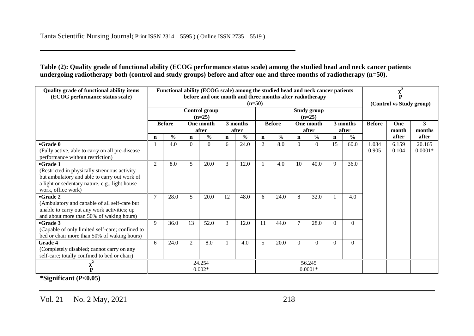### **Table (2): Quality grade of functional ability (ECOG performance status scale) among the studied head and neck cancer patients undergoing radiotherapy both (control and study groups) before and after one and three months of radiotherapy (n=50).**

| Quality grade of functional ability items<br>(ECOG performance status scale)                                                                                                              | Functional ability (ECOG scale) among the studied head and neck cancer patients<br>before and one month and three months after radiotherapy<br>$(n=50)$ |               |             |                    |             |                   |              |               |          |                     |             | (Control vs Study group) |                |                |                     |
|-------------------------------------------------------------------------------------------------------------------------------------------------------------------------------------------|---------------------------------------------------------------------------------------------------------------------------------------------------------|---------------|-------------|--------------------|-------------|-------------------|--------------|---------------|----------|---------------------|-------------|--------------------------|----------------|----------------|---------------------|
|                                                                                                                                                                                           | Control group<br><b>Study group</b><br>$(n=25)$<br>$(n=25)$                                                                                             |               |             |                    |             |                   |              |               |          |                     |             |                          |                |                |                     |
|                                                                                                                                                                                           |                                                                                                                                                         | <b>Before</b> |             | One month<br>after |             | 3 months<br>after |              | <b>Before</b> |          | One month<br>after  |             | 3 months<br>after        | <b>Before</b>  | One<br>month   | 3<br>months         |
|                                                                                                                                                                                           | $\mathbf n$                                                                                                                                             | $\frac{0}{0}$ | $\mathbf n$ | $\frac{6}{6}$      | $\mathbf n$ | $\frac{0}{0}$     | $\mathbf{n}$ | $\frac{0}{0}$ | n        | $\frac{6}{9}$       | $\mathbf n$ | $\frac{6}{6}$            |                | after          | after               |
| $\bullet$ Grade $0$<br>(Fully active, able to carry on all pre-disease<br>performance without restriction)                                                                                |                                                                                                                                                         | 4.0           | $\Omega$    | $\theta$           | 6           | 24.0              | 2            | 8.0           | $\Omega$ | $\Omega$            | 15          | 60.0                     | 1.034<br>0.905 | 6.159<br>0.104 | 20.165<br>$0.0001*$ |
| $\bullet$ Grade 1<br>(Restricted in physically strenuous activity<br>but ambulatory and able to carry out work of<br>a light or sedentary nature, e.g., light house<br>work, office work) | $\overline{2}$                                                                                                                                          | 8.0           | 5           | 20.0               | 3           | 12.0              |              | 4.0           | 10       | 40.0                | 9           | 36.0                     |                |                |                     |
| $\bullet$ Grade 2<br>(Ambulatory and capable of all self-care but<br>unable to carry out any work activities; up<br>and about more than 50% of waking hours)                              | $\tau$                                                                                                                                                  | 28.0          | 5           | 20.0               | 12          | 48.0              | 6            | 24.0          | 8        | 32.0                |             | 4.0                      |                |                |                     |
| •Grade 3<br>(Capable of only limited self-care; confined to<br>bed or chair more than 50% of waking hours)                                                                                | 9                                                                                                                                                       | 36.0          | 13          | 52.0               | 3           | 12.0              | 11           | 44.0          | 7        | 28.0                | $\Omega$    | 0                        |                |                |                     |
| Grade 4<br>(Completely disabled; cannot carry on any<br>self-care; totally confined to bed or chair)                                                                                      | 6                                                                                                                                                       | 24.0          | 2           | 8.0                |             | 4.0               | 5            | 20.0          | $\Omega$ | $\Omega$            | $\Omega$    | 0                        |                |                |                     |
|                                                                                                                                                                                           |                                                                                                                                                         |               |             | 24.254<br>$0.002*$ |             |                   |              |               |          | 56.245<br>$0.0001*$ |             |                          |                |                |                     |

**\*Significant (P<0.05)**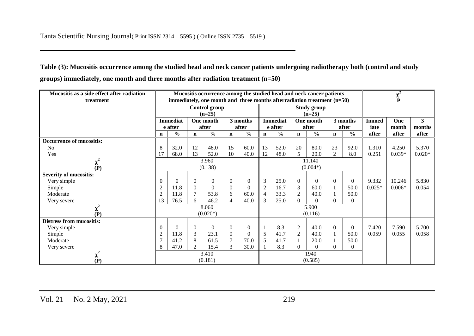**Table (3): Mucositis occurrence among the studied head and neck cancer patients undergoing radiotherapy both (control and study groups) immediately, one month and three months after radiation treatment (n=50)** 

| Mucositis as a side effect after radiation |                              | Mucositis occurrence among the studied head and neck cancer patients    |             |               |                |                           |                |               |                |                |              | $\chi^2$       |           |          |          |
|--------------------------------------------|------------------------------|-------------------------------------------------------------------------|-------------|---------------|----------------|---------------------------|----------------|---------------|----------------|----------------|--------------|----------------|-----------|----------|----------|
| treatment                                  |                              | immediately, one month and three months afterradiation treatment (n=50) |             |               |                |                           |                |               |                |                |              |                | ${\bf P}$ |          |          |
|                                            | Control group                |                                                                         |             |               |                | <b>Study group</b>        |                |               |                |                |              |                |           |          |          |
|                                            |                              |                                                                         |             | $(n=25)$      |                |                           | $(n=25)$       |               |                |                |              |                |           |          |          |
|                                            | <b>Immediat</b><br>One month |                                                                         |             | 3 months      |                | <b>Immediat</b>           |                | One month     |                | 3 months       | <b>Immed</b> | One            | 3         |          |          |
|                                            |                              | e after                                                                 |             | after         |                | after                     |                | e after       |                | after          |              | after          | iate      | month    | months   |
|                                            | $\mathbf n$                  | $\frac{6}{6}$                                                           | $\mathbf n$ | $\frac{0}{0}$ | $\mathbf n$    | $\overline{\mathbf{v}}_0$ | $\mathbf n$    | $\frac{0}{0}$ | $\mathbf n$    | $\frac{0}{0}$  | $\mathbf n$  | $\frac{0}{0}$  | after     | after    | after    |
| <b>Occurrence of mucositis:</b>            |                              |                                                                         |             |               |                |                           |                |               |                |                |              |                |           |          |          |
| N <sub>0</sub>                             | 8                            | 32.0                                                                    | 12          | 48.0          | 15             | 60.0                      | 13             | 52.0          | 20             | 80.0           | 23           | 92.0           | 1.310     | 4.250    | 5.370    |
| Yes                                        | 17                           | 68.0                                                                    | 13          | 52.0          | 10             | 40.0                      | 12             | 48.0          | 5              | 20.0           | 2            | 8.0            | 0.251     | $0.039*$ | $0.020*$ |
| $\chi^2$                                   | 3.960                        |                                                                         |             |               |                | 11.140                    |                |               |                |                |              |                |           |          |          |
| (P)                                        | (0.138)                      |                                                                         |             |               | $(0.004*)$     |                           |                |               |                |                |              |                |           |          |          |
| <b>Severity of mucositis:</b>              |                              |                                                                         |             |               |                |                           |                |               |                |                |              |                |           |          |          |
| Very simple                                | $\Omega$                     | $\theta$                                                                | $\theta$    | $\Omega$      | $\Omega$       | $\Omega$                  | 3              | 25.0          | $\Omega$       | $\Omega$       | $\theta$     | $\Omega$       | 9.332     | 10.246   | 5.830    |
| Simple                                     | $\overline{2}$               | 11.8                                                                    | $\Omega$    | $\Omega$      | $\Omega$       | $\theta$                  | $\overline{2}$ | 16.7          | 3              | 60.0           |              | 50.0           | $0.025*$  | $0.006*$ | 0.054    |
| Moderate                                   | $\overline{2}$               | 11.8                                                                    |             | 53.8          | 6              | 60.0                      | $\overline{4}$ | 33.3          | $\overline{c}$ | 40.0           |              | 50.0           |           |          |          |
| Very severe                                | 13                           | 76.5                                                                    | 6           | 46.2          | $\overline{4}$ | 40.0                      | 3              | 25.0          | $\Omega$       | $\theta$       | $\Omega$     | $\overline{0}$ |           |          |          |
| $\chi^2$                                   |                              |                                                                         |             | 8.060         |                |                           | 5.900          |               |                |                |              |                |           |          |          |
| (P)                                        |                              |                                                                         |             | $(0.020*)$    |                |                           | (0.116)        |               |                |                |              |                |           |          |          |
| <b>Distress from mucositis:</b>            |                              |                                                                         |             |               |                |                           |                |               |                |                |              |                |           |          |          |
| Very simple                                | $\Omega$                     | $\theta$                                                                | $\theta$    | $\Omega$      | $\overline{0}$ | $\Omega$                  |                | 8.3           | $\overline{2}$ | 40.0           | $\theta$     | $\Omega$       | 7.420     | 7.590    | 5.700    |
| Simple                                     | $\overline{2}$               | 11.8                                                                    | 3           | 23.1          | $\mathbf{0}$   | $\theta$                  | 5              | 41.7          | $\overline{2}$ | 40.0           |              | 50.0           | 0.059     | 0.055    | 0.058    |
| Moderate                                   | 7                            | 41.2                                                                    | 8           | 61.5          | $\overline{7}$ | 70.0                      | 5              | 41.7          |                | 20.0           |              | 50.0           |           |          |          |
| Very severe                                | 8                            | 47.0                                                                    | 2           | 15.4          | 3              | 30.0                      |                | 8.3           | $\Omega$       | $\overline{0}$ | $\Omega$     | $\overline{0}$ |           |          |          |
| $\chi^2$                                   |                              |                                                                         |             | 3.410         |                |                           | 1940           |               |                |                |              |                |           |          |          |
| (P)                                        | (0.181)                      |                                                                         |             |               |                | (0.585)                   |                |               |                |                |              |                |           |          |          |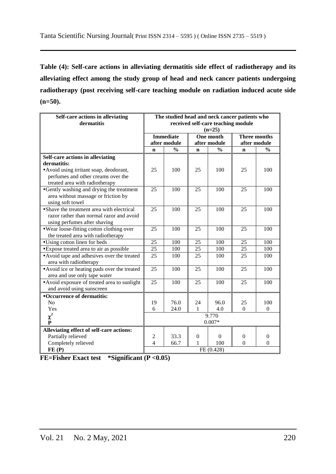**Table (4): Self-care actions in alleviating dermatitis side effect of radiotherapy and its alleviating effect among the study group of head and neck cancer patients undergoing radiotherapy (post receiving self-care teaching module on radiation induced acute side (n=50).**

| Self-care actions in alleviating             | The studied head and neck cancer patients who |                  |                |                     |                  |                  |  |  |  |  |
|----------------------------------------------|-----------------------------------------------|------------------|----------------|---------------------|------------------|------------------|--|--|--|--|
| dermatitis                                   | received self-care teaching module            |                  |                |                     |                  |                  |  |  |  |  |
|                                              | $(n=25)$                                      |                  |                |                     |                  |                  |  |  |  |  |
|                                              |                                               | <b>Immediate</b> |                | <b>Three months</b> |                  |                  |  |  |  |  |
|                                              |                                               | after module     |                | after module        | after module     |                  |  |  |  |  |
|                                              | $\mathbf n$                                   | $\frac{0}{0}$    | $\mathbf n$    | $\frac{0}{0}$       | $\mathbf n$      | $\frac{0}{0}$    |  |  |  |  |
| Self-care actions in alleviating             |                                               |                  |                |                     |                  |                  |  |  |  |  |
| dermatitis:                                  |                                               |                  |                |                     |                  |                  |  |  |  |  |
| • Avoid using irritant soap, deodorant,      | 25                                            | 100              | 25             | 100                 | 25               | 100              |  |  |  |  |
| perfumes and other creams over the           |                                               |                  |                |                     |                  |                  |  |  |  |  |
| treated area with radiotherapy               |                                               |                  |                |                     |                  |                  |  |  |  |  |
| •Gently washing and drying the treatment     | $\overline{25}$                               | 100              | 25             | 100                 | 25               | 100              |  |  |  |  |
| area without massage or friction by          |                                               |                  |                |                     |                  |                  |  |  |  |  |
| using soft towel                             |                                               |                  |                |                     |                  |                  |  |  |  |  |
| • Shave the treatment area with electrical   | 25                                            | 100              | 25             | 100                 | 25               | 100              |  |  |  |  |
| razor rather than normal razor and avoid     |                                               |                  |                |                     |                  |                  |  |  |  |  |
| using perfumes after shaving                 |                                               |                  |                |                     |                  |                  |  |  |  |  |
| •Wear loose-fitting cotton clothing over     | 25                                            | 100              | 25             | 100                 | 25               | 100              |  |  |  |  |
| the treated area with radiotherapy           |                                               |                  |                |                     |                  |                  |  |  |  |  |
| •Using cotton linen for beds                 | 25                                            | 100              | 25             | 100                 | 25               | 100              |  |  |  |  |
| • Expose treated area to air as possible     | 25                                            | 100              | 25             | 100                 | 25               | 100              |  |  |  |  |
| • Avoid tape and adhesives over the treated  | 25                                            | 100              | 25             | 100                 | 25               | 100              |  |  |  |  |
| area with radiotherapy                       |                                               |                  |                |                     |                  |                  |  |  |  |  |
| • Avoid ice or heating pads over the treated | $\overline{25}$                               | 100              | 25             | 100                 | 25               | 100              |  |  |  |  |
| area and use only tape water                 |                                               |                  |                |                     |                  |                  |  |  |  |  |
| • Avoid exposure of treated area to sunlight | 25                                            | 100              | 25             | 100                 | 25               | 100              |  |  |  |  |
| and avoid using sunscreen                    |                                               |                  |                |                     |                  |                  |  |  |  |  |
| •Occurrence of dermatitis:                   |                                               |                  |                |                     |                  |                  |  |  |  |  |
| N <sub>o</sub>                               | 19                                            | 76.0             | 24             | 96.0                | 25               | 100              |  |  |  |  |
| Yes                                          | 6                                             | 24.0             | $\mathbf{1}$   | 4.0                 | $\Omega$         | $\overline{0}$   |  |  |  |  |
| $\chi^2$                                     |                                               |                  |                | 9.770               |                  |                  |  |  |  |  |
| $\mathbf{P}$                                 |                                               |                  |                | $0.007*$            |                  |                  |  |  |  |  |
| Alleviating effect of self-care actions:     |                                               |                  |                |                     |                  |                  |  |  |  |  |
| Partially relieved                           | $\sqrt{2}$                                    | 33.3             | $\overline{0}$ | $\Omega$            | $\mathbf{0}$     | $\theta$         |  |  |  |  |
| Completely relieved                          | $\overline{4}$                                | 66.7             | 1              | 100                 | $\boldsymbol{0}$ | $\boldsymbol{0}$ |  |  |  |  |
| FE(P)                                        |                                               |                  |                | FE (0.428)          |                  |                  |  |  |  |  |

**FE=Fisher Exact test \*Significant (P <0.05)**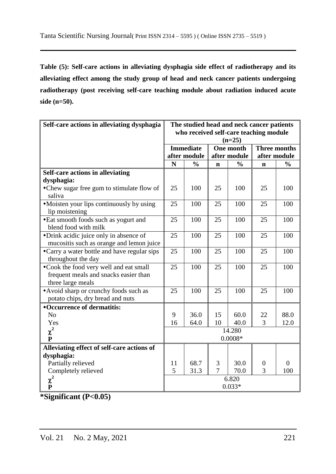**Table (5): Self-care actions in alleviating dysphagia side effect of radiotherapy and its alleviating effect among the study group of head and neck cancer patients undergoing radiotherapy (post receiving self-care teaching module about radiation induced acute side (n=50).**

| Self-care actions in alleviating dysphagia                 | The studied head and neck cancer patients          |                  |                |               |                      |                |  |  |  |
|------------------------------------------------------------|----------------------------------------------------|------------------|----------------|---------------|----------------------|----------------|--|--|--|
|                                                            | who received self-care teaching module<br>$(n=25)$ |                  |                |               |                      |                |  |  |  |
|                                                            |                                                    | <b>Immediate</b> |                | One month     | <b>Three months</b>  |                |  |  |  |
|                                                            |                                                    | after module     |                | after module  | after module         |                |  |  |  |
|                                                            | N                                                  | $\frac{0}{0}$    | $\mathbf n$    | $\frac{0}{0}$ | $\mathbf n$          | $\frac{0}{0}$  |  |  |  |
| Self-care actions in alleviating                           |                                                    |                  |                |               |                      |                |  |  |  |
| dysphagia:                                                 |                                                    |                  |                |               |                      |                |  |  |  |
| •Chew sugar free gum to stimulate flow of                  | 25                                                 | 100              | 25             | 100           | 25                   | 100            |  |  |  |
| saliva                                                     |                                                    |                  |                |               |                      |                |  |  |  |
| •Moisten your lips continuously by using<br>lip moistening | 25                                                 | 100              | 25             | 100           | 25                   | 100            |  |  |  |
| • Eat smooth foods such as yogurt and                      | 25                                                 | 100              | 25             | 100           | 25                   | 100            |  |  |  |
| blend food with milk                                       |                                                    |                  |                |               |                      |                |  |  |  |
| • Drink acidic juice only in absence of                    | 25                                                 | 100              | 25             | 100           | 25                   | 100            |  |  |  |
| mucositis such as orange and lemon juice                   |                                                    |                  |                |               |                      |                |  |  |  |
| •Carry a water bottle and have regular sips                | 25                                                 | 100              | 25             | 100           | 25                   | 100            |  |  |  |
| throughout the day                                         |                                                    |                  |                |               |                      |                |  |  |  |
| •Cook the food very well and eat small                     | 25                                                 | 100              | 25             | 100           | 25                   | 100            |  |  |  |
| frequent meals and snacks easier than                      |                                                    |                  |                |               |                      |                |  |  |  |
| three large meals                                          |                                                    |                  |                |               |                      |                |  |  |  |
| • Avoid sharp or crunchy foods such as                     | 25                                                 | 100              | 25             | 100           | 25                   | 100            |  |  |  |
| potato chips, dry bread and nuts                           |                                                    |                  |                |               |                      |                |  |  |  |
| <b>•Occurrence of dermatitis:</b><br>N <sub>o</sub>        | 9                                                  | 36.0             | 15             | 60.0          |                      | 88.0           |  |  |  |
| Yes                                                        | 16                                                 | 64.0             | 10             | 40.0          | 22<br>$\overline{3}$ | 12.0           |  |  |  |
|                                                            |                                                    |                  |                |               |                      |                |  |  |  |
| $\chi^2$<br>P                                              | 14.280<br>$0.0008*$                                |                  |                |               |                      |                |  |  |  |
| Alleviating effect of self-care actions of                 |                                                    |                  |                |               |                      |                |  |  |  |
| dysphagia:                                                 |                                                    |                  |                |               |                      |                |  |  |  |
| Partially relieved                                         | 11                                                 | 68.7             | 3              | 30.0          | $\theta$             | $\overline{0}$ |  |  |  |
| Completely relieved                                        | 5                                                  | 31.3             | $\overline{7}$ | 70.0          | 3                    | 100            |  |  |  |
| $\chi^2$                                                   |                                                    |                  |                | 6.820         |                      |                |  |  |  |
| $\overline{\mathbf{P}}$                                    |                                                    |                  |                | $0.033*$      |                      |                |  |  |  |

**\*Significant (P<0.05)**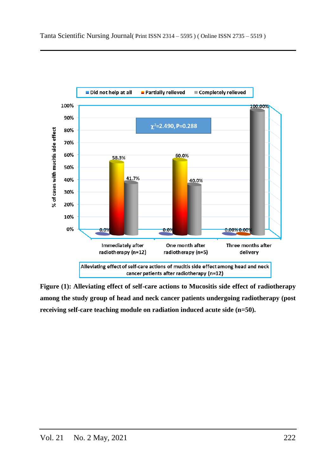

**Figure (1): Alleviating effect of self-care actions to Mucositis side effect of radiotherapy among the study group of head and neck cancer patients undergoing radiotherapy (post receiving self-care teaching module on radiation induced acute side (n=50).**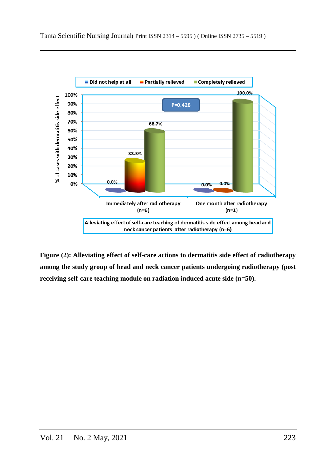

**Figure (2): Alleviating effect of self-care actions to dermatitis side effect of radiotherapy among the study group of head and neck cancer patients undergoing radiotherapy (post receiving self-care teaching module on radiation induced acute side (n=50).**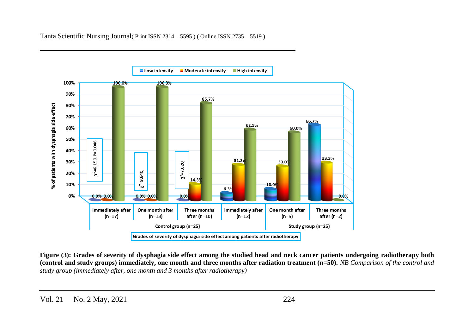Tanta Scientific Nursing Journal( Print ISSN 2314 – 5595 ) ( Online ISSN 2735 – 5519 )



**Figure (3): Grades of severity of dysphagia side effect among the studied head and neck cancer patients undergoing radiotherapy both (control and study groups) immediately, one month and three months after radiation treatment (n=50).** *NB Comparison of the control and study group (immediately after, one month and 3 months after radiotherapy)*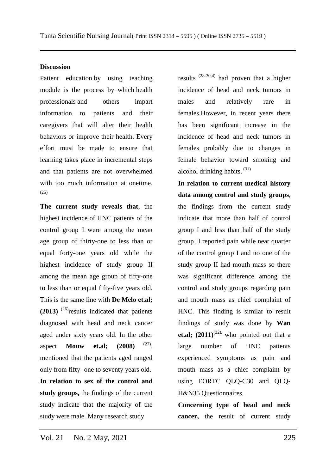### **Discussion**

Patient education by using teaching module is the process by which [health](https://en.wikipedia.org/wiki/Health_professional)  [professionals](https://en.wikipedia.org/wiki/Health_professional) and others impart information to patients and their caregivers that will alter their health behaviors or improve their health. Every effort must be made to ensure that learning takes place in incremental steps and that patients are not overwhelmed with too much information at onetime. (25)

**The current study reveals that**, the highest incidence of HNC patients of the control group I were among the mean age group of thirty-one to less than or equal forty-one years old while the highest incidence of study group II among the mean age group of fifty-one to less than or equal fifty-five years old. This is the same line with **De Melo et.al;**   $(2013)$ <sup> $(26)$ </sup>results indicated that patients diagnosed with head and neck cancer aged under sixty years old. In the other aspect **Mouw et.al;** (2008)  $(27)$ mentioned that the patients aged ranged only from fifty- one to seventy years old. **In relation to sex of the control and study groups,** the findings of the current study indicate that the majority of the study were male. Many research study

results  $(28-30,4)$  had proven that a higher incidence of head and neck tumors in males and relatively rare in females.However, in recent years there has been significant increase in the incidence of head and neck tumors in females probably due to changes in female behavior toward smoking and alcohol drinking habits.  $(31)$ 

**In relation to current medical history data among control and study groups**, the findings from the current study indicate that more than half of control group I and less than half of the study group II reported pain while near quarter of the control group I and no one of the study group II had mouth mass so there was significant difference among the control and study groups regarding pain and mouth mass as chief complaint of HNC. This finding is similar to result findings of study was done by **Wan et.al;**  $(2011)^{(32)}$  who pointed out that a large number of HNC patients experienced symptoms as pain and mouth mass as a chief complaint by using EORTC QLQ‐C30 and QLQ‐ H&N35 Questionnaires.

**Concerning type of head and neck cancer,** the result of current study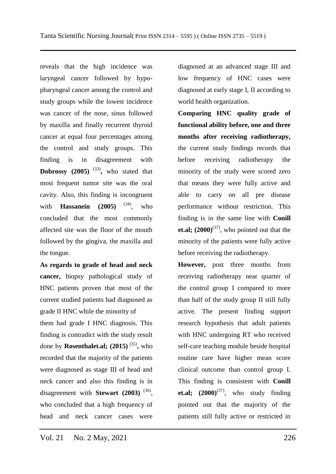reveals that the high incidence was laryngeal cancer followed by hypopharyngeal cancer among the control and study groups while the lowest incidence was cancer of the nose, sinus followed by maxilla and finally recurrent thyroid cancer at equal four percentages among the control and study groups. This finding is in disagreement with Dobrossy (2005)<sup>(33)</sup>, who stated that most frequent tumor site was the oral cavity. Also, this finding is incongruent with **Hassanein** (2005) <sup>(34)</sup>, who concluded that the most commonly affected site was the floor of the mouth followed by the gingiva, the maxilla and the tongue.

**As regards to grade of head and neck cancer,** biopsy pathological study of HNC patients proven that most of the current studied patients had diagnosed as grade II HNC while the minority of them had grade I HNC diagnosis. This finding is contradict with the study result done by **Rosenthalet.al;** (2015)<sup>(35)</sup>, who recorded that the majority of the patients were diagnosed as stage III of head and neck cancer and also this finding is in disagreement with **Stewart** (2003)<sup>(36)</sup>, who concluded that a high frequency of head and neck cancer cases were

diagnosed at an advanced stage III and low frequency of HNC cases were diagnosed at early stage I, II according to world health organization.

**Comparing HNC quality grade of functional ability before, one and three months after receiving radiotherapy,**  the current study findings records that before receiving radiotherapy the minority of the study were scored zero that means they were fully active and able to carry on all pre disease performance without restriction. This finding is in the same line with **Conill et.al;**  $(2000)^{(37)}$ , who pointed out that the minority of the patients were fully active before receiving the radiotherapy.

**However,** post three months from receiving radiotherapy near quarter of the control group I compared to more than half of the study group II still fully active. The present finding support research hypothesis that adult patients with HNC undergoing RT who received self-care teaching module beside hospital routine care have higher mean score clinical outcome than control group I. This finding is consistent with **Conill et.al;**  $(2000)^{(37)}$ , who study finding pointed out that the majority of the patients still fully active or restricted in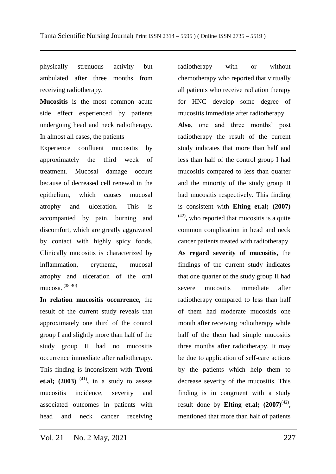physically strenuous activity but ambulated after three months from receiving radiotherapy.

**Mucositis** is the most common acute side effect experienced by patients undergoing head and neck radiotherapy. In almost all cases, the patients

Experience confluent mucositis by approximately the third week of treatment. Mucosal damage occurs because of decreased cell renewal in the epithelium, which causes mucosal atrophy and ulceration. This is accompanied by pain, burning and discomfort, which are greatly aggravated by contact with highly spicy foods. Clinically mucositis is characterized by inflammation, erythema, mucosal atrophy and ulceration of the oral mucosa. (38-40)

**In relation mucositis occurrence**, the result of the current study reveals that approximately one third of the control group I and slightly more than half of the study group II had no mucositis occurrence immediate after radiotherapy. This finding is inconsistent with **Trotti et.al;** (2003)  $^{(41)}$ , in a study to assess mucositis incidence, severity and associated outcomes in patients with head and neck cancer receiving radiotherapy with or without chemotherapy who reported that virtually all patients who receive radiation therapy for HNC develop some degree of mucositis immediate after radiotherapy.

**Also**, one and three months' post radiotherapy the result of the current study indicates that more than half and less than half of the control group I had mucositis compared to less than quarter and the minority of the study group II had mucositis respectively. This finding is consistent with **Elting et.al; (2007)** (42) **,** who reported that mucositis is a quite common complication in head and neck cancer patients treated with radiotherapy.

**As regard severity of mucositis,** the findings of the current study indicates that one quarter of the study group II had severe mucositis immediate after radiotherapy compared to less than half of them had moderate mucositis one month after receiving radiotherapy while half of the them had simple mucositis three months after radiotherapy. It may be due to application of self-care actions by the patients which help them to decrease severity of the mucositis. This finding is in congruent with a study result done by **Elting et.al**;  $(2007)^{(42)}$ , mentioned that more than half of patients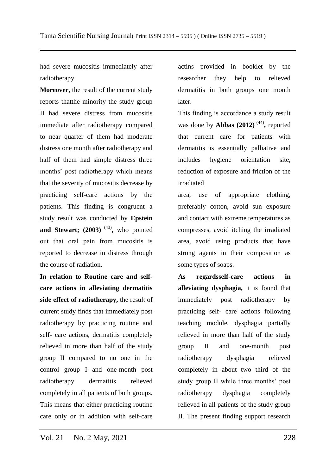had severe mucositis immediately after radiotherapy.

**Moreover,** the result of the current study reports thatthe minority the study group II had severe distress from mucositis immediate after radiotherapy compared to near quarter of them had moderate distress one month after radiotherapy and half of them had simple distress three months' post radiotherapy which means that the severity of mucositis decrease by practicing self-care actions by the patients. This finding is congruent a study result was conducted by **Epstein**  and Stewart; (2003)<sup>(43)</sup>, who pointed out that oral pain from mucositis is reported to decrease in distress through the course of radiation.

**In relation to Routine care and selfcare actions in alleviating dermatitis side effect of radiotherapy,** the result of current study finds that immediately post radiotherapy by practicing routine and self- care actions, dermatitis completely relieved in more than half of the study group II compared to no one in the control group I and one-month post radiotherapy dermatitis relieved completely in all patients of both groups. This means that either practicing routine care only or in addition with self-care

actins provided in booklet by the researcher they help to relieved dermatitis in both groups one month later.

This finding is accordance a study result was done by **Abbas** (2012)<sup>(44)</sup>, reported that current care for patients with dermatitis is essentially palliative and includes hygiene orientation site, reduction of exposure and friction of the irradiated

area, use of appropriate clothing, preferably cotton, avoid sun exposure and contact with extreme temperatures as compresses, avoid itching the irradiated area, avoid using products that have strong agents in their composition as some types of soaps.

**As regardsself-care actions in alleviating dysphagia,** it is found that immediately post radiotherapy by practicing self- care actions following teaching module, dysphagia partially relieved in more than half of the study group II and one-month post radiotherapy dysphagia relieved completely in about two third of the study group II while three months' post radiotherapy dysphagia completely relieved in all patients of the study group II. The present finding support research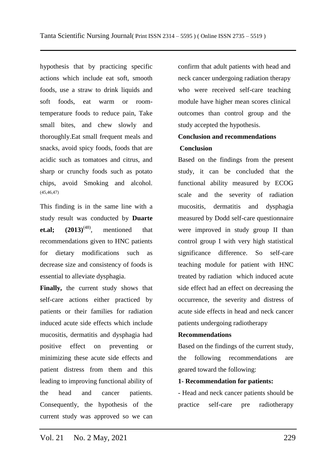hypothesis that by practicing specific actions which include eat soft, smooth foods, use a straw to drink liquids and soft foods, eat warm or roomtemperature foods to reduce pain, Take small bites, and chew slowly and thoroughly.Eat small frequent meals and snacks, avoid spicy foods, foods that are acidic such as tomatoes and citrus, and sharp or crunchy foods such as potato chips, avoid Smoking and alcohol. (45,46,47)

This finding is in the same line with a study result was conducted by **Duarte et.al;**  $(2013)^{(48)}$ , mentioned that recommendations given to HNC patients for dietary modifications such as decrease size and consistency of foods is essential to alleviate dysphagia.

**Finally,** the current study shows that self-care actions either practiced by patients or their families for radiation induced acute side effects which include mucositis, dermatitis and dysphagia had positive effect on preventing or minimizing these acute side effects and patient distress from them and this leading to improving functional ability of the head and cancer patients. Consequently, the hypothesis of the current study was approved so we can

confirm that adult patients with head and neck cancer undergoing radiation therapy who were received self-care teaching module have higher mean scores clinical outcomes than control group and the study accepted the hypothesis.

## **Conclusion and recommendations Conclusion**

Based on the findings from the present study, it can be concluded that the functional ability measured by ECOG scale and the severity of radiation mucositis, dermatitis and dysphagia measured by Dodd self-care questionnaire were improved in study group II than control group I with very high statistical significance difference. So self-care teaching module for patient with HNC treated by radiation which induced acute side effect had an effect on decreasing the occurrence, the severity and distress of acute side effects in head and neck cancer patients undergoing radiotherapy

### **Recommendations**

Based on the findings of the current study, the following recommendations are geared toward the following:

### **1- Recommendation for patients:**

- Head and neck cancer patients should be practice self-care pre radiotherapy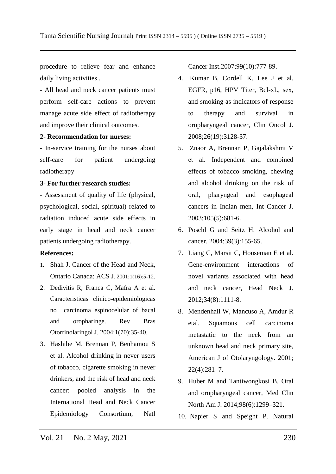procedure to relieve fear and enhance daily living activities .

- All head and neck cancer patients must perform self-care actions to prevent manage acute side effect of radiotherapy and improve their clinical outcomes.

### **2- Recommendation for nurses:**

- In-service training for the nurses about self-care for patient undergoing radiotherapy

### **3- For further research studies:**

- Assessment of quality of life (physical, psychological, social, spiritual) related to radiation induced acute side effects in early stage in head and neck cancer patients undergoing radiotherapy.

### **References:**

- 1. Shah J. Cancer of the Head and Neck, Ontario Canada: ACS J. 2001;1(16):5-12.
- 2. Dedivitis R, Franca C, Mafra A et al. Caracteristicas clinico-epidemiologicas no carcinoma espinocelular of bacal and oropharinge. Rev Bras Otorrinolaringol J. 2004;1(70):35-40.
- 3. Hashibe M, Brennan P, Benhamou S et al. Alcohol drinking in never users of tobacco, cigarette smoking in never drinkers, and the risk of head and neck cancer: pooled analysis in the International Head and Neck Cancer Epidemiology Consortium, Natl

Cancer Inst.2007;99(10):777-89.

- 4. Kumar B, Cordell K, Lee J et al. EGFR, p16, HPV Titer, Bcl-xL, sex, and smoking as indicators of response to therapy and survival in oropharyngeal cancer, Clin Oncol J. 2008;26(19):3128-37.
- 5. Znaor A, Brennan P, Gajalakshmi V et al. Independent and combined effects of tobacco smoking, chewing and alcohol drinking on the risk of oral, pharyngeal and esophageal cancers in Indian men, Int Cancer J. 2003;105(5):681-6.
- 6. Poschl G and Seitz H. Alcohol and cancer. 2004;39(3):155-65.
- 7. Liang C, Marsit C, Houseman E et al. Gene-environment interactions of novel variants associated with head and neck cancer, Head Neck J. 2012;34(8):1111-8.
- 8. Mendenhall W, Mancuso A, Amdur R etal. Squamous cell carcinoma metastatic to the neck from an unknown head and neck primary site, American J of Otolaryngology. 2001; 22(4):281–7.
- 9. Huber M and Tantiwongkosi B. Oral and oropharyngeal cancer, Med Clin North Am J. 2014;98(6):1299–321.
- 10. Napier S and Speight P. Natural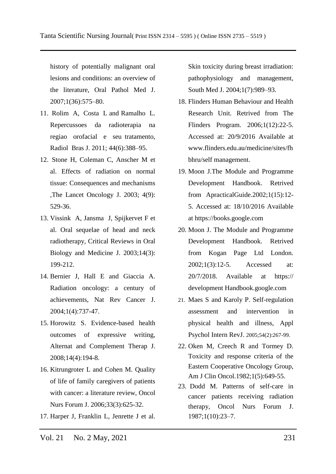history of potentially malignant oral lesions and conditions: an overview of the literature, Oral Pathol Med J. 2007;1(36):575–80.

- 11. Rolim A, Costa L and Ramalho L. Repercussoes da radioterapia na regiao orofacial e seu tratamento, Radiol Bras J. 2011; 44(6):388–95.
- 12. Stone H, Coleman C, Anscher M et al. Effects of radiation on normal tissue: Consequences and mechanisms ,The Lancet Oncology J. 2003; 4(9): 529-36.
- 13. Vissink A, Jansma J, Spijkervet F et al. Oral sequelae of head and neck radiotherapy, Critical Reviews in Oral Biology and Medicine J. 2003;14(3): 199-212.
- 14. Bernier J, Hall E and Giaccia A. Radiation oncology: a century of achievements, Nat Rev Cancer J. 2004;1(4):737-47.
- 15. Horowitz S. Evidence-based health outcomes of expressive writing, Alternat and Complement Therap J. 2008;14(4):194-8.
- 16. Kitrungroter L and Cohen M. Quality of life of family caregivers of patients with cancer: a literature review, Oncol Nurs Forum J. 2006;33(3):625-32.
- 17. Harper J, Franklin L, Jenrette J et al.

Skin toxicity during breast irradiation: pathophysiology and management, South Med J. 2004;1(7):989–93.

- 18. Flinders Human Behaviour and Health Research Unit. Retrived from The Flinders Program. 2006;1(12):22-5. Accessed at: 20/9/2016 Available at www.flinders.edu.au/medicine/sites/fh bhru/self management.
- 19. Moon J.The Module and Programme Development Handbook. Retrived from ApracticalGuide.2002;1(15):12- 5. Accessed at: 18/10/2016 Available at [https://books.google.com](https://books.google.com/)
- 20. Moon J. The Module and Programme Development Handbook. Retrived from Kogan Page Ltd London. 2002;1(3):12-5. Accessed at: 20/7/2018. Available at https:// development Handbook.google.com
- 21. Maes S and Karoly P. Self-regulation assessment and intervention in physical health and illness, Appl Psychol Intern RevJ. 2005;54(2):267-99.
- 22. Oken M, Creech R and Tormey D. Toxicity and response criteria of the Eastern Cooperative Oncology Group, Am J Clin Oncol.1982;1(5):649-55.
- 23. Dodd M. Patterns of self-care in cancer patients receiving radiation therapy, Oncol Nurs Forum J. 1987;1(10):23–7.